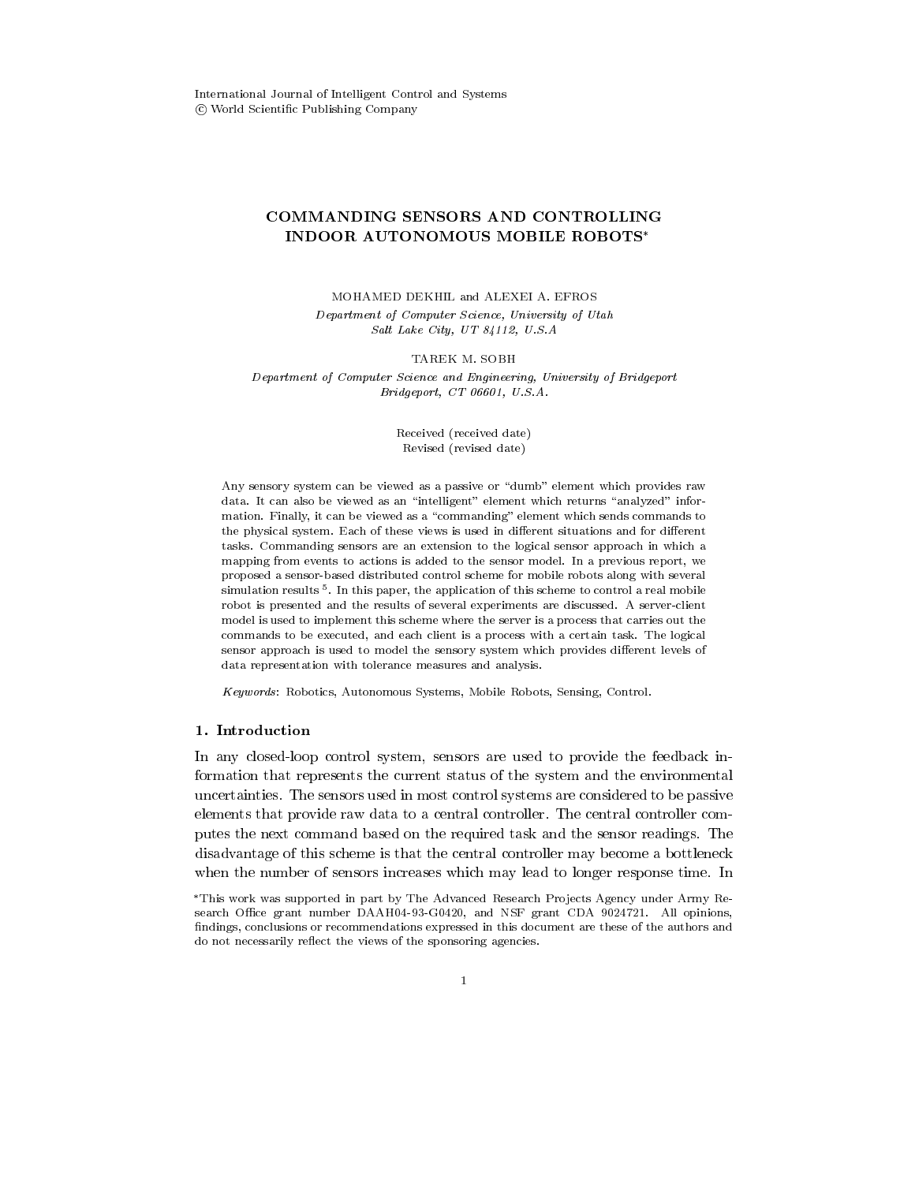# COMMANDING SENSORS AND CONTROLLING INDOOR AUTONOMOUS MOBILE ROBOTS

Department of Computer Science, University of Utah Salt Lake City UT - USA

Department of Computer Science and Engineering, University of Bridgeport  $Bridgeport, CT 06601, U.S.A.$ 

> Received (received date) Revised (revised date)

Any sensory system can be viewed as a passive or "dumb" element which provides raw data- it can also be viewed as an intelligent element which is an information in the compact  $\sim$ mation- Finally it can be viewed as a commanding element which sends commands to the physical system-divergence views is used in different system-divergence in different situations and for di tasks- Commanding sensors are an extension to the logical sensor approach in which a mapping from events to actions is added to the sensor model- In a previous report we proposed a sensor-based distributed control scheme for mobile robots along with several simulation results <sup>-</sup> . In this paper, the application of this scheme to control a real mobile robot is presented and the results of several experiments are discussed- A serverclient model is used to implement this scheme where the server is a process that carries out the communication to be executed and each client is a process with a certain task-to-growth sensor approach is used to model the sensory system which provides different levels of data representation with tolerance measures and analysis-

 $R$  autonomous Systems Mobile Robots Systems Mobile Robots Sensing Control-

## 1. Introduction

In any closedloop control system- sensors are used to provide the feedback in formation that represents the current status of the system and the environmental uncertainties The sensors used in most control systems are considered to be passive elements that provide raw data to a central controller. The central controller computes the next command based on the required task and the sensor readings The disadvantage of this scheme is that the central controller may become a bottleneck when the number of sensors increases which may lead to longer response time. In

<sup>\*</sup>This work was supported in part by The Advanced Research Projects Agency under Army Research and and contract contracts of the contract of the contract contracts of the search of the search of the findings, conclusions or recommendations expressed in this document are these of the authors and do not necessarily reflect the views of the sponsoring agencies.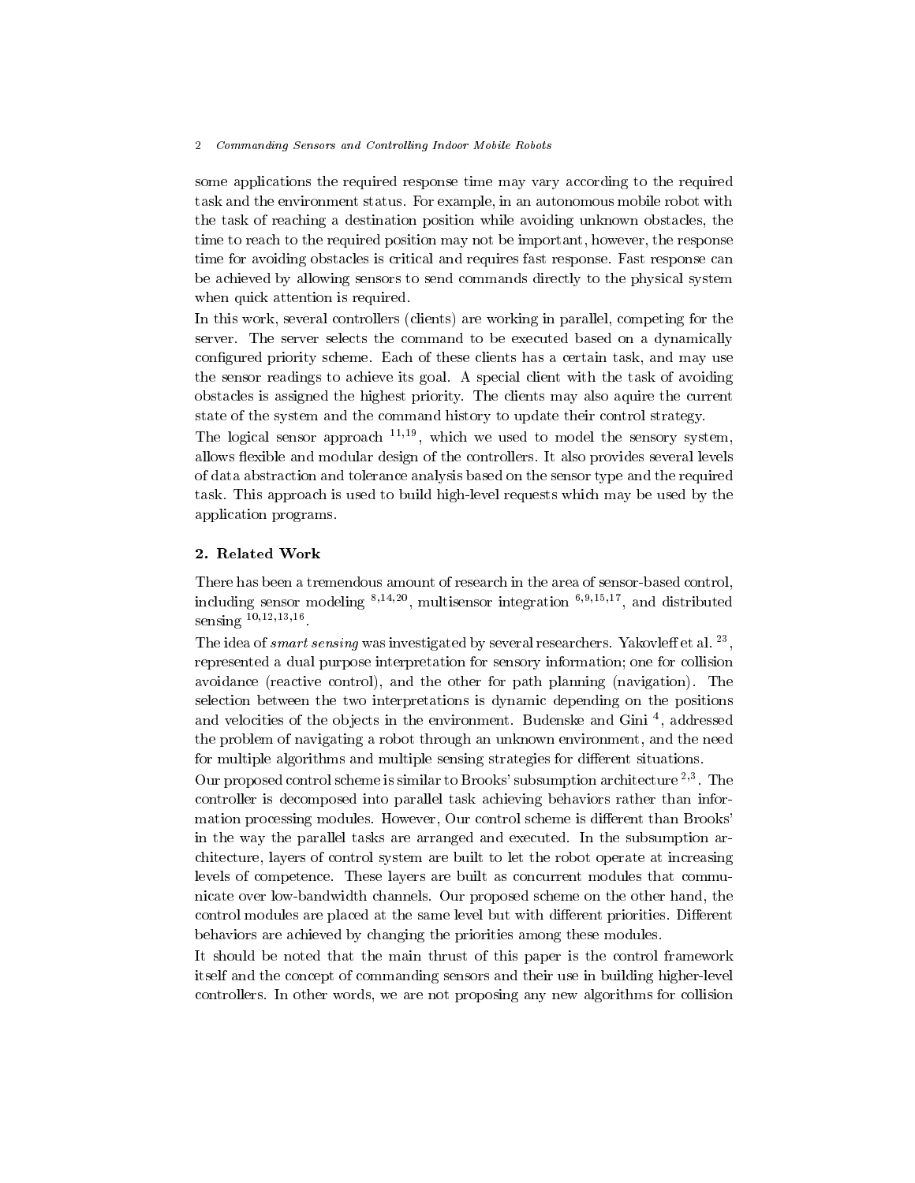### $\overline{2}$ Commanding Sensors and Controlling Indoor Mobile Robots

some applications the required response time may vary according to the required task and the environment status For example- in an autonomous mobile robot with the task of reaching a destination position while avoiding unknown obstacles- the time to reach to the required position may not be important, as the set of the response  $\sim$ time for avoiding obstacles is critical and requires fast response. Fast response can be achieved by allowing sensors to send commands directly to the physical system when quick attention is required.

In this work- several controllers clients are working in parallel- competing for the server. The server selects the command to be executed based on a dynamically congured priority scheme Each of these clients has a certain task- and may use the sensor readings to achieve its goal A special client with the task of avoiding obstacles is assigned the highest priority The clients may also aquire the current state of the system and the command history to update their control strategy

The logical sensor approach but we which we used to model the sensory system, allows flexible and modular design of the controllers. It also provides several levels of data abstraction and tolerance analysis based on the sensor type and the required task. This approach is used to build high-level requests which may be used by the application programs

There has been a tremendous amount of research in the area of sensor-based control, including sensor modeling - multisensor integration - - and distributed sensing with the contract of the sensing of the sensing sensing  $\sim$ 

I he idea of *smart sensing* was investigated by several researchers. Takoviell et al. ( ) represented a dual purpose interpretation for sensory information; one for collision avoidance reactive control- and the other for path planning navigation The selection between the two interpretations is dynamic depending on the positions and velocities of the objects in the environment. Dudenske and Gini -, addressed the problem of navigating a robot through an unknown environment- and the need for multiple algorithms and multiple sensing strategies for different situations.

Our proposed control scheme is similar to Brooks subsumption architecture The controller is decomposed into parallel task achieving behaviors rather than infor mation processing modules However- Our control scheme is dierent than Brooks in the way the parallel tasks are arranged and executed. In the subsumption architecture-built to let the robot of control system are built to let the robot operate at increasing the robot levels of competence. These layers are built as concurrent modules that communicate over lowbandwidth channels Our proposed scheme on the other hand- the control modules are placed at the same level but with different priorities. Different behaviors are achieved by changing the priorities among these modules

It should be noted that the main thrust of this paper is the control framework itself and the concept of commanding sensors and their use in building higherlevel controllers in other words- we are not proposing any new algorithms for collision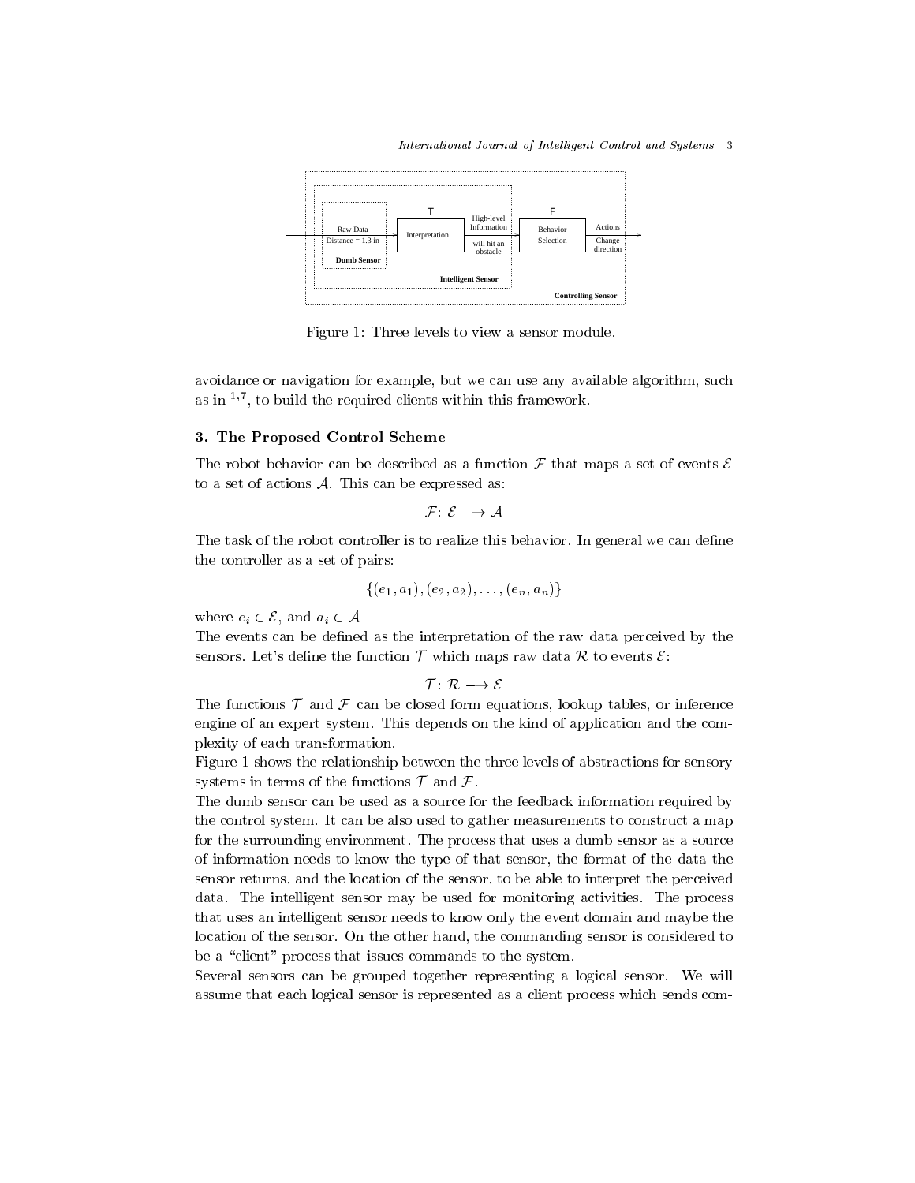

Figure 1: Three levels to view a sensor module.

avoidance or navigation for example-y web we can use any available algorithment and available algorithmas in  $\cdot$  , to build the required clients within this framework.

## - The Proposed Control Scheme

The robot behavior can be described as a function  $\mathcal F$  that maps a set of events  $\mathcal E$ to a set of actions  $A$ . This can be expressed as:

$$
\mathcal{F} \colon \mathcal{E} \longrightarrow \mathcal{A}
$$

The task of the robot controller is to realize this behavior. In general we can define the controller as a set of pairs

$$
\{(e_1,a_1), (e_2,a_2), \ldots, (e_n,a_n)\}
$$

where either either either  $\mathcal{L}_k$  is the contract of  $k$ 

The events can be defined as the interpretation of the raw data perceived by the sensors Letter and the function to an interesting maps of the function  $\mathbf{F}$ 

$$
\mathcal{T}\colon\thinspace\mathcal{R}\longrightarrow\mathcal{E}
$$

The functions <sup>T</sup> and <sup>F</sup> can be closed form equations- lookup tables- or inference engine of an expert system. This depends on the kind of application and the complexity of each transformation

Figure 1 shows the relationship between the three levels of abstractions for sensory systems in terms of the functions  $\mathcal T$  and  $\mathcal F$ .

The dumb sensor can be used as a source for the feedback information required by the control system. It can be also used to gather measurements to construct a map for the surrounding environment. The process that uses a dumb sensor as a source of information needs to know the type of that sensor- the format of the data the sensor returns- and the location of the sensor- to be able to interpret the perceived data The intelligent sensor may be used for monitoring activities The process that uses an intelligent sensor needs to know only the event domain and maybe the location of the sensor On the other hand- the commanding sensor is considered to be a "client" process that issues commands to the system.

Several sensors can be grouped together representing a logical sensor We will assume that each logical sensor is represented as a client process which sends com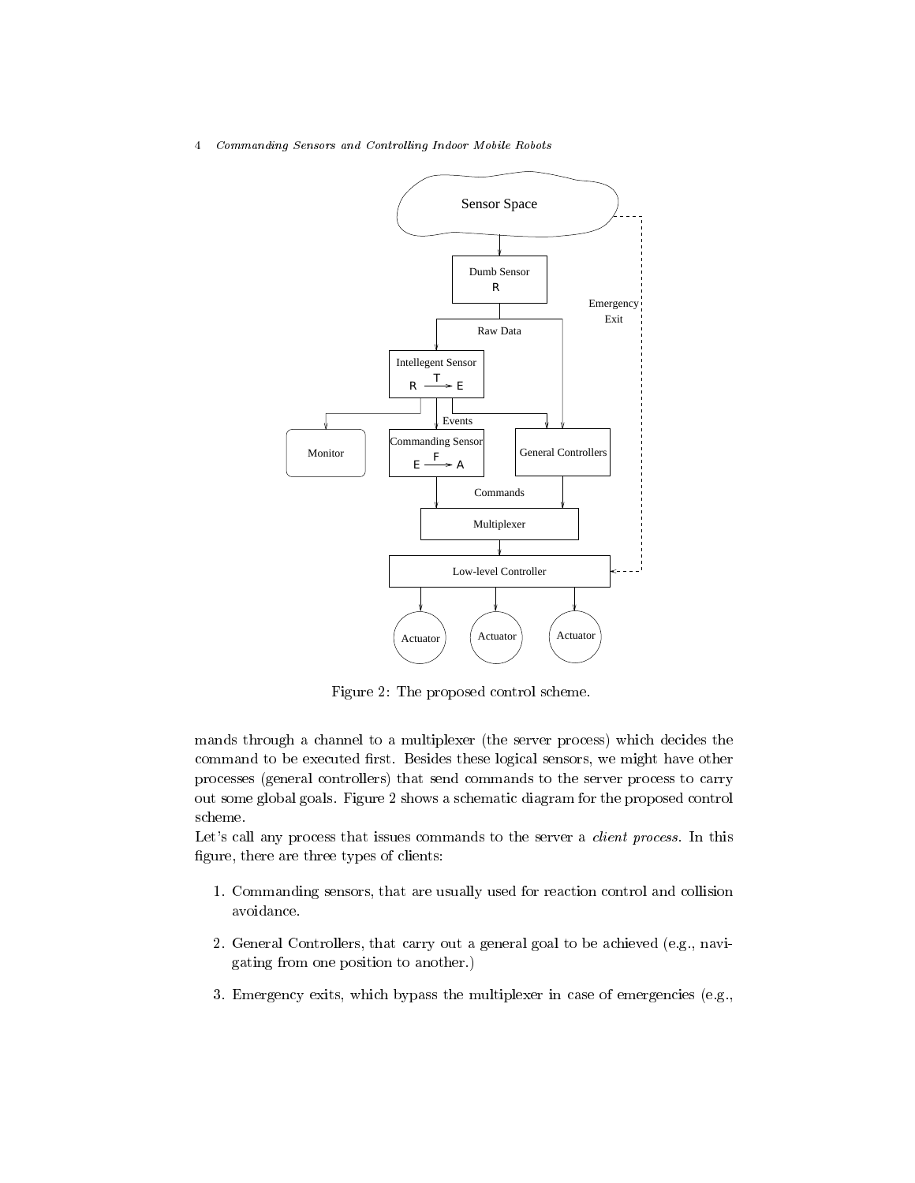4 Commanding Sensors and Controlling Indoor Mobile Robots



Figure 2: The proposed control scheme.

mands through a channel to a multiplexer (the server process) which decides the command to be executed rst Besides these logical sensors- we might have other processes (general controllers) that send commands to the server process to carry out some global goals. Figure 2 shows a schematic diagram for the proposed control scheme

Let s call any process that issues commands to the server a client process In this gure- there are three types of clients

- Commanding sensors- that are usually used for reaction control and collision avoidance
- a carry out a general goal to be a general goal to be achieved to be achieved to be a gating from one position to another
- exits-query control control the multiplexer of emergencies exits-query the multiplexer in  $\mathcal{C}$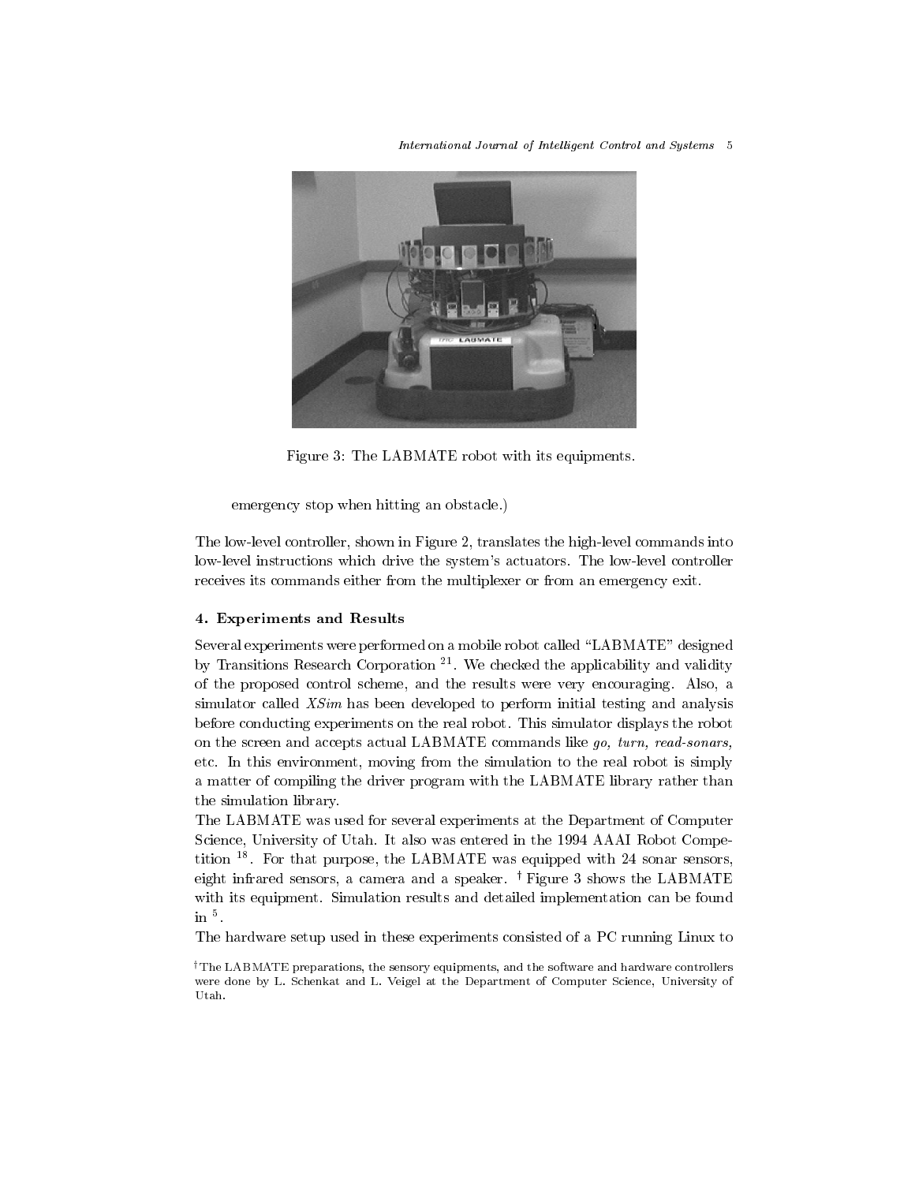International Journal of Intelligent Control and Systems 5



Figure 3: The LABMATE robot with its equipments.

emergency stop when hitting an obstacle.)

the lowless the controller commander  $\mathcal{A}$  and the into the matrix into the highlevel commutes into the second lowlevel instructions which drive the system s actuators The lowlevel controller receives its commands either from the multiplexer or from an emergency exit

## - Experiments and Results and Results and Results and Results and Results and Results and Results and Results a

Several experiments were performed on a mobile robot called "LABMATE" designed by Transitions Research Corporation We checked the applicability and validity of the proposed control scheme- and the results were very encouraging the results simulator called XSim has been developed to perform initial testing and analysis before conducting experiments on the real robot This simulator displays the robot on the screen and accepts actual LABMATE commands like go turn read-sonars etc. The this this environment and the simulation the simulation to the simulation to the simply and the simply a matter of compiling the driver program with the LABMATE library rather than the simulation library

The LABMATE was used for several experiments at the Department of Computer Science- University of Utah It also was entered in the AAAI Robot Compe tition <sup>--</sup> . For that purpose, the LABMATE was equipped with 24 sonar sensors, eight infrared sensors- a camera and a speaker <sup>y</sup> Figure shows the LABMATE with its equipment. Simulation results and detailed implementation can be found in

The hardware setup used in these experiments consisted of a PC running Linux to

<sup>†</sup>The LABMATE preparations, the sensory equipments, and the software and hardware controllers were done by L- Schenkat and L- Veigel at the Department of Computer Science University of Utah-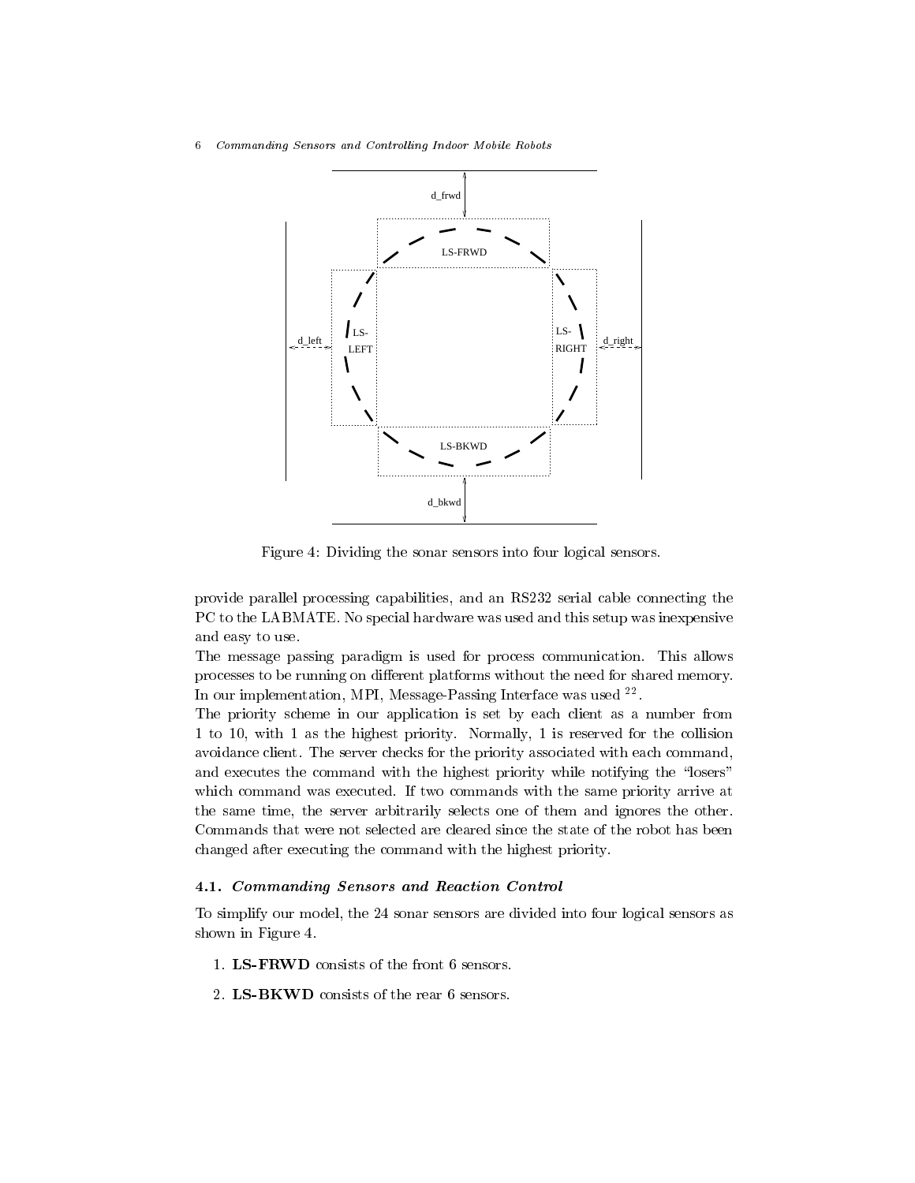6 Commanding Sensors and Controlling Indoor Mobile Robots



Figure 4: Dividing the sonar sensors into four logical sensors.

provide parallel providently capabilities, when an RS series-connecting the connection of the connection of the PC to the LABMATE. No special hardware was used and this setup was inexpensive and easy to use

The message passing paradigm is used for process communication This allows processes to be running on different platforms without the need for shared memory. In our implementation, MPI, Message-Passing Interface was used <sup>--</sup>

The priority scheme in our application is set by each client as a number from to a the most priority of the collisions of the collisions in the collision of the collision of the collision avoidance client. The server checks for the priority associated with each command, and executes the command with the highest priority while notifying the "losers" which command was executed. If two commands with the same priority arrive at the same time-server arbitrarily selects one of the server arbitrarily selects one of them and ignores the other other selects one of the other selects one of the other selects one of the other selects one of the other se Commands that were not selected are cleared since the state of the robot has been changed after executing the command with the highest priority

## -- Commanding Sensors and Reaction Control

To simplify our model- the sonar sensors are divided into four logical sensors as shown in Figure 4.

- 1. LS-FRWD consists of the front 6 sensors.
- 2.  $LS-BKWD$  consists of the rear 6 sensors.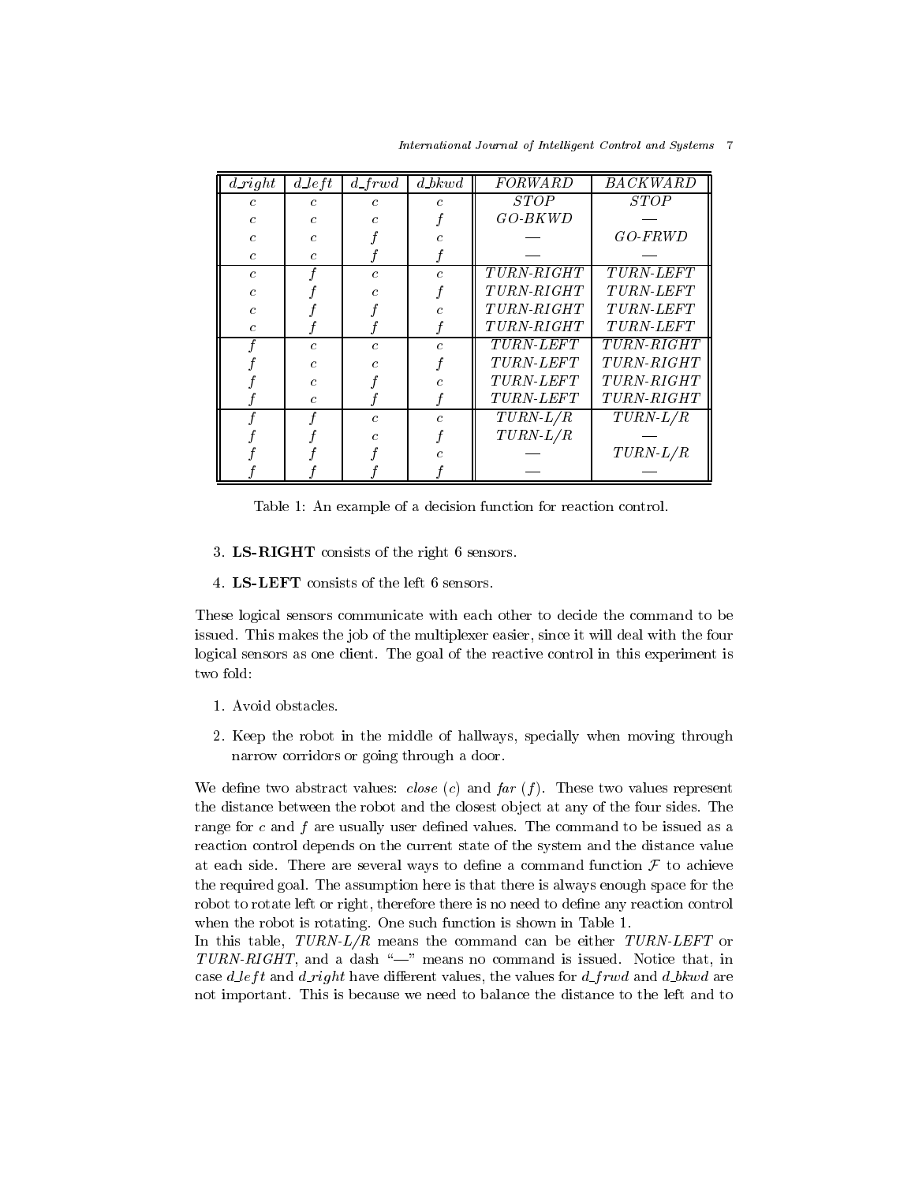| $d\_right$    | $d\,\,left$ | $d$ frwd      | $d\_bkwd$ | FORWARD           | <b>BACKWARD</b>  |
|---------------|-------------|---------------|-----------|-------------------|------------------|
| C             | C           | $\epsilon$    | C.        | <i>STOP</i>       | <i>STOP</i>      |
| C             | C           |               |           | GO-BKWD           |                  |
| C.            | C.          |               |           |                   | GO-FRWD          |
| $\mathcal{C}$ | C           |               |           |                   |                  |
| $\mathcal{C}$ |             | $\mathcal{C}$ | C         | TURN-RIGHT        | <b>TURN-LEFT</b> |
| $\mathcal{C}$ |             |               |           | <i>TURN-RIGHT</i> | <b>TURN-LEFT</b> |
| C.            |             |               |           | <i>TURN-RIGHT</i> | <b>TURN-LEFT</b> |
| C             |             |               |           | <i>TURN-RIGHT</i> | $TURN-LEFT$      |
|               | Ċ           | $\mathcal{C}$ | C         | <i>TURN-LEFT</i>  | TURN-RIGHT       |
|               | С           |               |           | <b>TURN-LEFT</b>  | TURN-RIGHT       |
|               | C.          |               |           | <b>TURN-LEFT</b>  | TURN-RIGHT       |
|               | C           |               |           | <i>TURN-LEFT</i>  | TURN-RIGHT       |
|               |             | C             |           | $TURN-L/R$        | $TURN-L/R$       |
|               |             |               |           | $TURN-L/R$        |                  |
|               |             |               |           |                   | $TURN-L/R$       |
|               |             |               |           |                   |                  |

International Journal of Intelligent Control and Systems 7

Table 1: An example of a decision function for reaction control.

- 3. LS-RIGHT consists of the right 6 sensors.
- 4.  $LS$ -LEFT consists of the left 6 sensors.

These logical sensors communicate with each other to decide the command to be issued This makes the job of the multiplexer easier- the multiplexer of the four the four the four logical sensors as one client. The goal of the reactive control in this experiment is two fold

- 1. Avoid obstacles.
- Keep the robot in the middle of hallways- specially when moving through narrow corridors or going through a door

We define two abstract values: *close* (c) and far  $(f)$ . These two values represent the distance between the robot and the closest ob ject at any of the four sides The range for c and  $f$  are usually user defined values. The command to be issued as a reaction control depends on the current state of the system and the distance value at each side. There are several ways to define a command function  $\mathcal F$  to achieve the required goal. The assumption here is that there is always enough space for the robot to rotate left or right- therefore there is no need to dene any reaction control when the robot is rotating. One such function is shown in Table 1.

 $\mathbf{I}$ TURN-END - and a dash  $\mathbb{R}$  and a dash  $\mathbb{R}$  and a dash  $\mathbb{R}$  and a dash  $\mathbb{R}$  and  $\mathbb{R}$  and  $\mathbb{R}$ case  $a$  reft and  $a$  right have different values, the values for  $a$  -frwd and  $a$  bkwd are not important. This is because we need to balance the distance to the left and to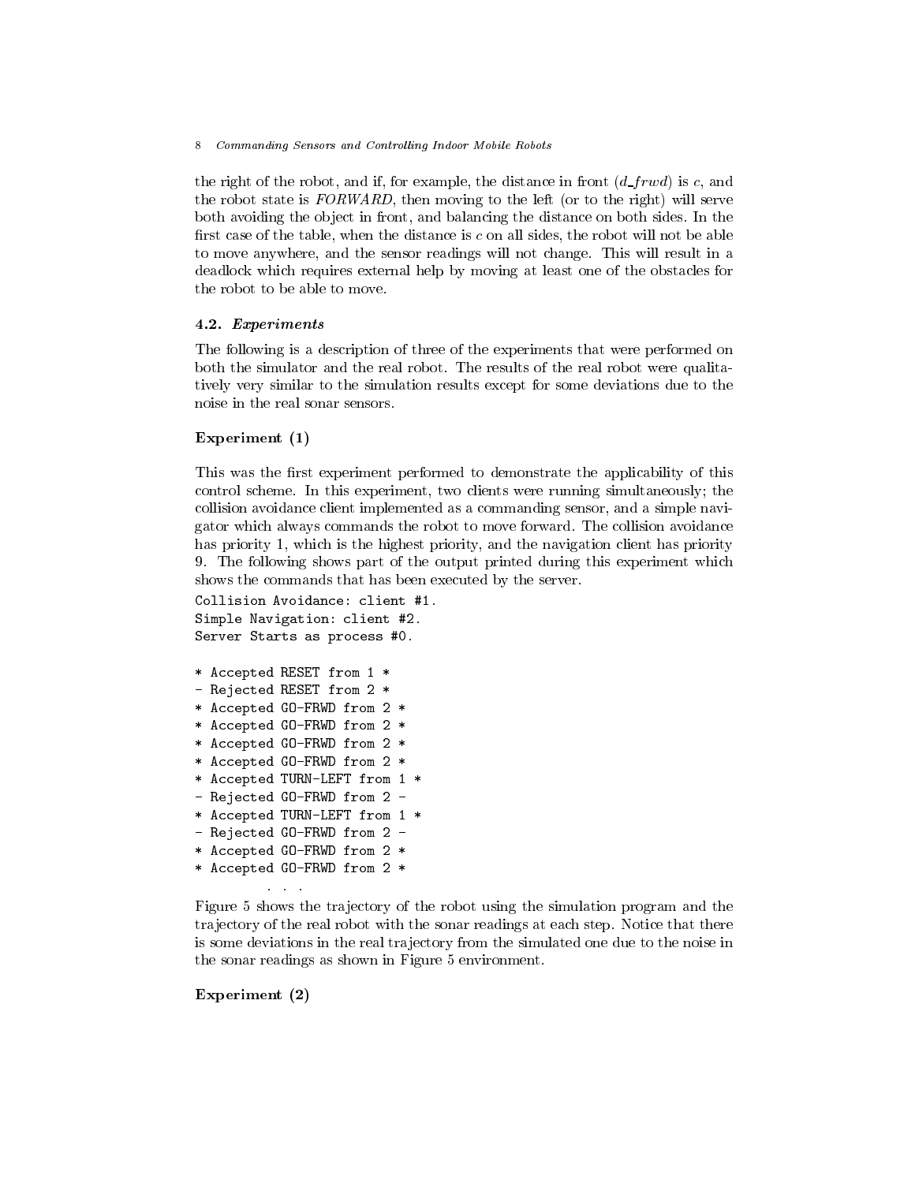8 Commanding Sensors and Controlling Indoor Mobile Robots

the right of the robot, and if, for example, the distance in from  $(a_{-}f_{-}rwa_{t})$  is c, and the robot state is FORWARD- then moving to the root (i.e. to the right) will serve both avoiding the ob ject in front- and balancing the distance on both sides In the the case of the table- which the distance is c on all sides the robot will not be able to move any where  $\alpha$  and the sensor readings will not change the sensor result in an analysis will deadlock which requires external help by moving at least one of the obstacles for the robot to be able to move.

## -- Experiments

The following is a description of three of the experiments that were performed on both the simulator and the real robot The results of the real robot were qualita tively very similar to the simulation results except for some deviations due to the noise in the real sonar sensors.

## Experiment (1)

This was the first experiment performed to demonstrate the applicability of this control scheme In this experiment- two clients were running simultaneously the collision avoidance client implemented as a commanding sensor- and a simple navi gator which always commands the robot to move forward The collision avoidance has priority - which is the highest priority- and the navigation client has priority The following shows part of the output printed during this experiment which shows the commands that has been executed by the server

```
Simple Navigation client -
```
Server Starts as process - Server Starts as process - Server Starts as process - Server Starts as process - Se

- \* Accepted RESET from 1 \*
- Rejected RESET from 2 \*
- \* Accepted GO-FRWD from 2 \*
- \* Accepted GO-FRWD from 2 \*
- \* Accepted GO-FRWD from 2 \*
- \* Accepted GO-FRWD from 2 \*
- \* Accepted TURN-LEFT from 1 \*
- Rejected GO-FRWD from 2 -
- \* Accepted TURN-LEFT from 1 \*
- Rejected GO-FRWD from 2 -
- \* Accepted GO-FRWD from 2 \*
- \* Accepted GO-FRWD from 2 \*

```
\mathbf{1} \mathbf{1}
```
Figure 5 shows the trajectory of the robot using the simulation program and the trajectory of the real robot with the sonar readings at each step. Notice that there is some deviations in the real tra jectory from the simulated one due to the noise in the sonar readings as shown in Figure 5 environment.

## Experiment (2)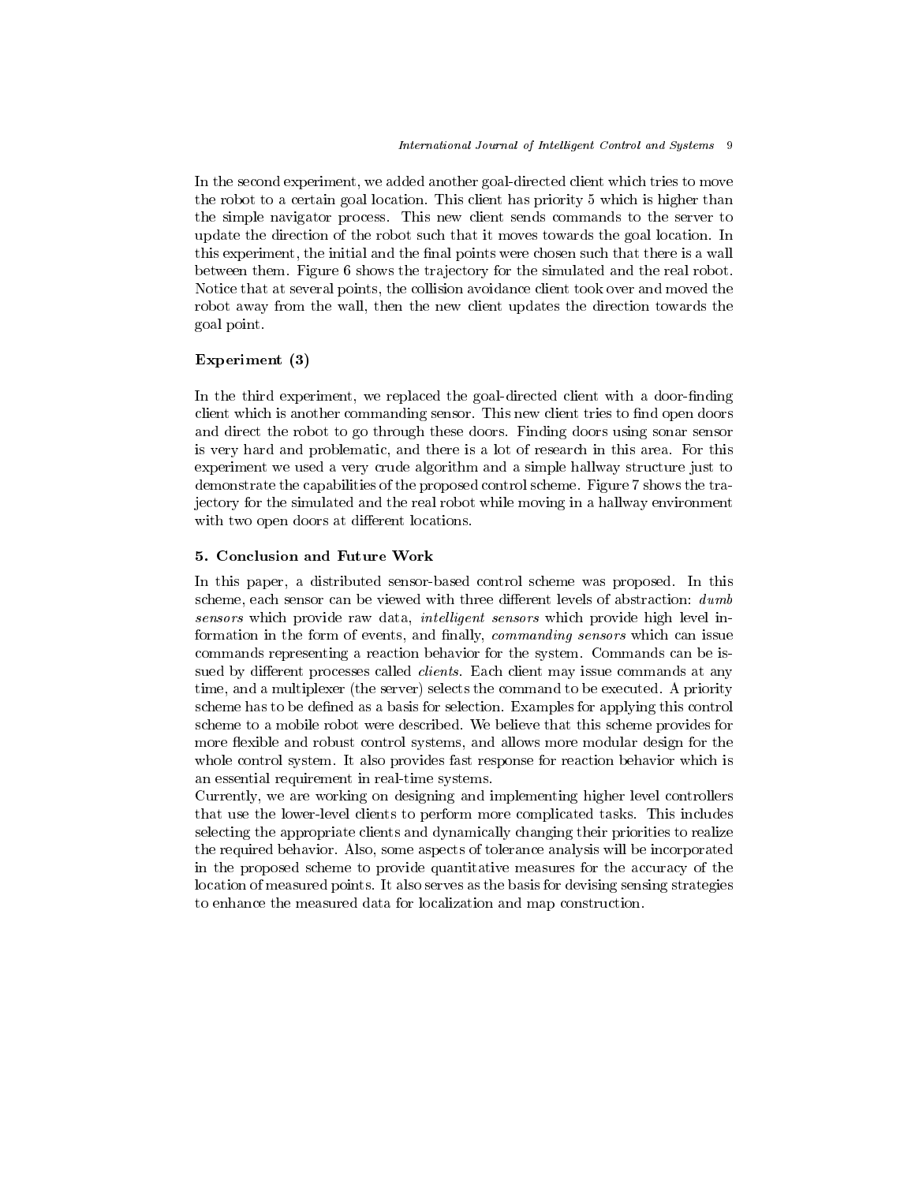an the second experiment, we added another goal another children which the second to move the robot to a certain goal location. This client has priority  $5$  which is higher than the simple navigator process This new client sends commands to the server to update the direction of the robot such that it moves towards the goal location In this experiment this experiment were chosen such that the national points were chosen that the such that the s between them. Figure 6 shows the trajectory for the simulated and the real robot. Notice that at several points- the collision avoidance client took over and moved the robot away from the wall- then the new client updates the direction towards the goal point

## Experiment (3)

In the third experiment- we replaced the goaldirected client with a doornding client which is another commanding sensor. This new client tries to find open doors and direct the robot to go through these doors Finding doors using sonar sensor is very hard and problematic- and there is a lot of research in this area For this experiment we used a very crude algorithm and a simple hallway structure just to demonstrate the capabilities of the proposed control scheme. Figure 7 shows the trajectory for the simulated and the real robot while moving in a hallway environment with two open doors at different locations.

In this paper- a distributed sensorbased control scheme was proposed In this scheme- en besteht die viewen with the viewe dierent levels of abstraction abstraction abstraction of abstract sensors which provide raw data-provide raw data-ligent sensors which provide high level in the compo formation in the form of events- and nally- commanding sensors which can issue commands representing a reaction behavior for the system Commands can be is sued by different processes called *clients*. Each client may issue commands at any time- and a multiplexer the server selects the command to be executed A priority scheme has to be defined as a basis for selection. Examples for applying this control scheme to a mobile robot were described. We believe that this scheme provides for more exible and robust control systems- and allows more modular design for the whole control system. It also provides fast response for reaction behavior which is an essential requirement in real-time systems.

e we are we are working and in the working and in the controllers and implementing higher level controllers and that use the lower-level clients to perform more complicated tasks. This includes selecting the appropriate clients and dynamically changing their priorities to realize the required behavior aspects of tolerance and possess of the incorporated behavior will be incorporated the i in the proposed scheme to provide quantitative measures for the accuracy of the location of measured points. It also serves as the basis for devising sensing strategies to enhance the measured data for localization and map construction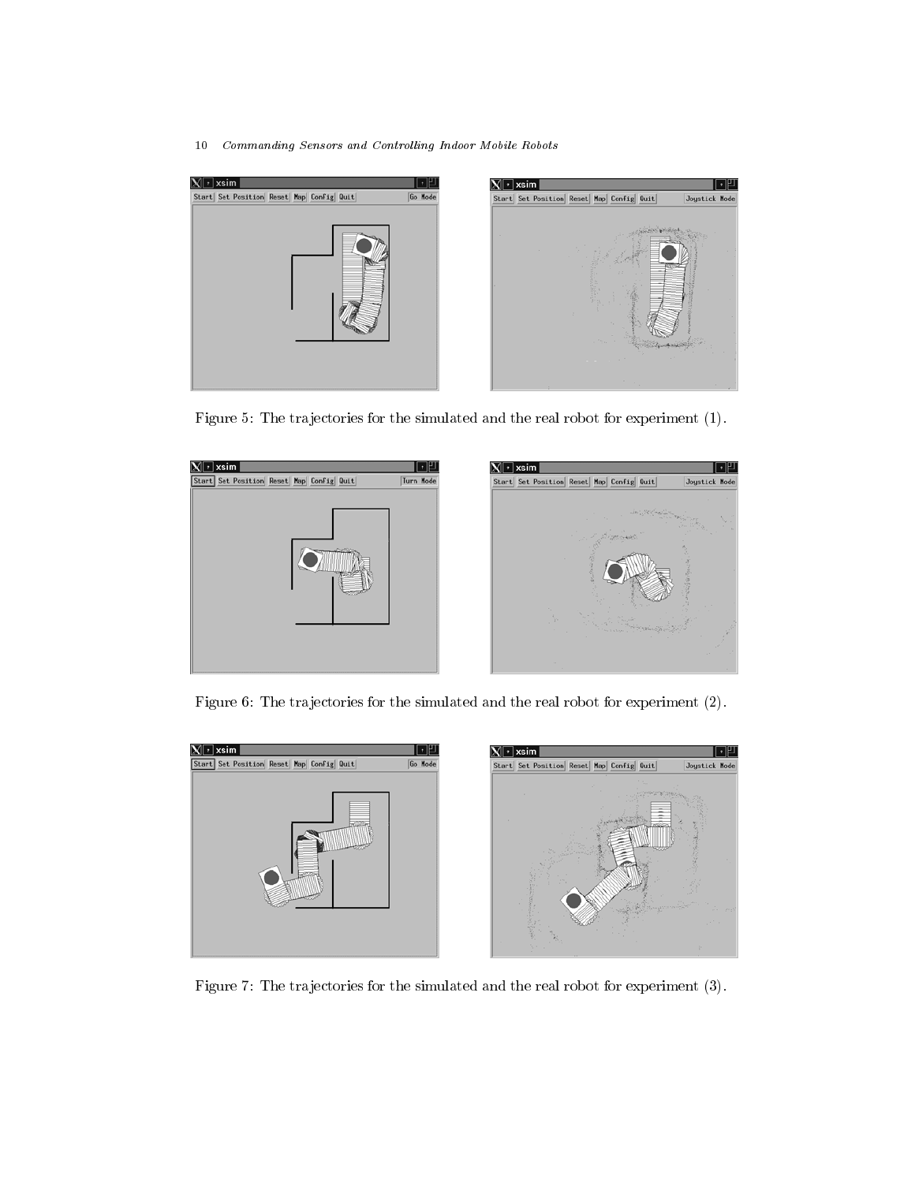10 Commanding Sensors and Controlling Indoor Mobile Robots



Figure 5: The trajectories for the simulated and the real robot for experiment (1).



Figure 6: The trajectories for the simulated and the real robot for experiment (2).



Figure 7: The trajectories for the simulated and the real robot for experiment (3).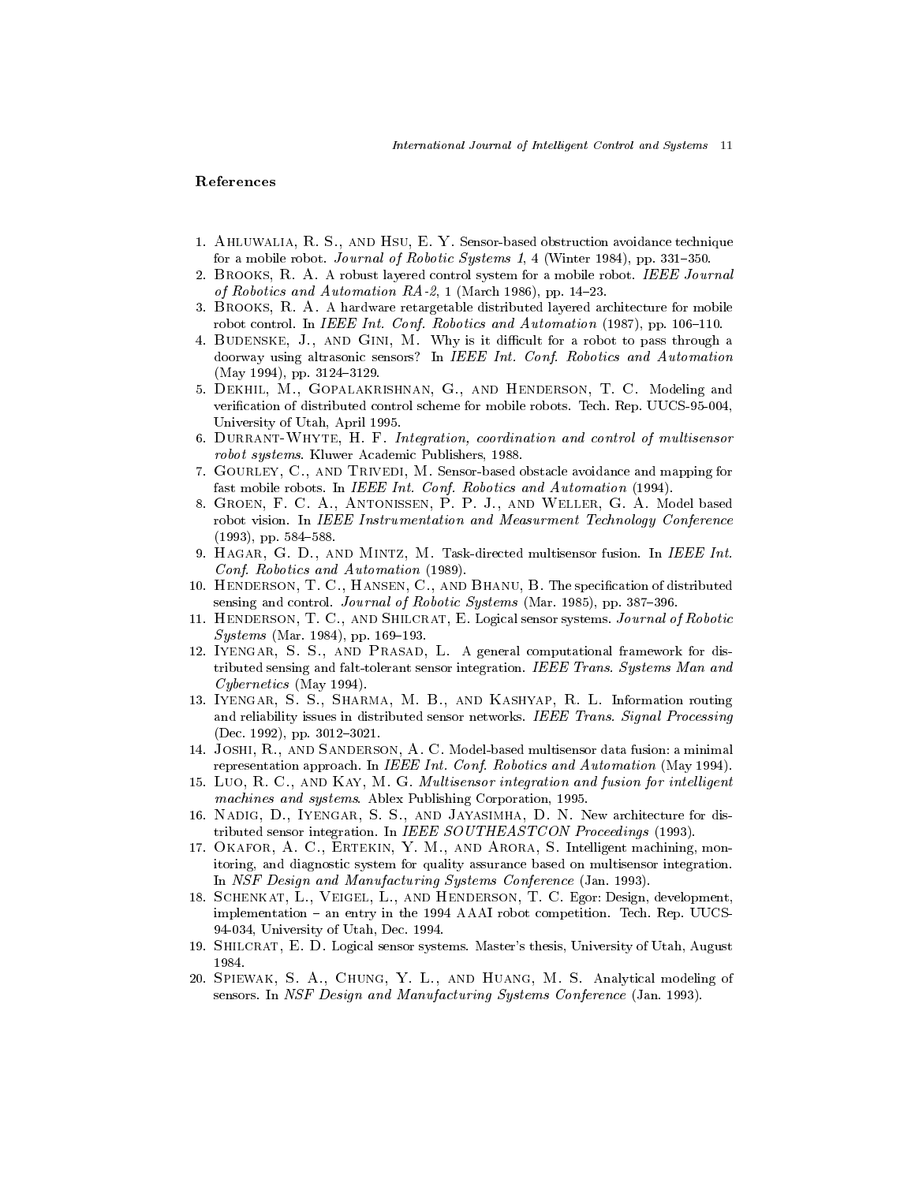## References

- Ahluwalia R-S-and Hsu E-S-and Hsu E-S-and Hsu E-S-and Hsu E-S-and Hsu E-S-and Hsu E-S-and Hsu E-S-and Hsu Eand a mobile density of workers and a presence of a processed and a property of  $\mathbb{P}^1$
- Brooks R-Brooks R-Brooks R-Brooks R-Brooks R-Brooks R-Brooks R-Brooks R-Brooks R-Brooks R-Brooks R-Brooks Rof  $\mathcal{A}$  and  $\mathcal{A}$  and  $\mathcal{A}$  are positive and  $\mathcal{A}$  and  $\mathcal{A}$  are positive and  $\mathcal{A}$  are positive and  $\mathcal{A}$  and  $\mathcal{A}$  are positive and  $\mathcal{A}$  are positive and  $\mathcal{A}$  are positive and  $\mathcal{A}$  a
- Brooks R- A- A hardware retargetable distributed layered architecture for mobile robot control- In IEEE Int Conf Robotics and Automation pp- 

-
- Budenske J-, the Gini M- and H-, a robot to pass the pass through a doorway using altrasonic sensors? In IEEE Int. Conf. Robotics and Automation  $\mathcal{N}$  , and a pp-dimensional polynomial properties of the state  $\mathcal{N}$
- , and Henderson T-decomposition and Henderson T-decomposition  $\mathcal{A}$  and  $\mathcal{A}$ verication of distributed controls stimulated for mobile robots- internet computer to a state  $\mathbf{r}_1$ University of Utah, April 1995.
- DurrantWhyte H- F- Integration coordination and control of multisensor robot systems- Kluwer Academic Publishers -
- . Gourley C-, the Sensor C- and mapping for the mapping for the mapping for the mapping form  $\alpha$ fast mobile robots- In IEEE Int Conf Robotics and Automation -
- Groen F- C- A- Antonissen P- P- J- and Weller G- A- Model based robot vision- In IEEE Instrumentation and Measurment Technology Conference , \_ \_ \_ \_ *,* , *. .* . . . . . . . .
- , and Mintz M- D- Mintz Martin Mintz Mintz Mintz Mintz Mintz Mintz Mintz Mintz Mintz Mintz Mintz Mintz Mintz M  $Conf.$  Robotics and Automation  $(1989)$ .
- Henderson T- C- Hansen C- and Bhanu B- The specication of distributed  $\mathcal{L}$  and control-system matrix  $\mathcal{L}$  and  $\mathcal{L}$  . The proposition of  $\mathcal{L}$
- Henderson T- C- and Shilcrat E- Logical sensor systems- Journal of Robotic systems (executive and the property of the second
- Iyengar S- S- and Prasad L- A generalcomputational framework for dis tributed sensing and falttolerant sensing and faltton-sensing  $\mathbf{H}$  $Cybernetics$  (May 1994).
- Iyengar S- S- Sharma M- B- and Kashyap R- L- Information routing and reliability is such that the sensor sensor networks-there is networks-the sensor in a sensor signal proces  $\blacksquare$
- Joshi R- and Sanderson A- C- Modelbased multisensor data fusion a minimal representation approach- In IEEE Int Conf Robotics and Automation May -
- - Luo R- C- and Kay M- G- Multisensor integration and fusion for intel ligent machines and systems- Ablex Publishing Corporation -
- Nadig D- Iyengar S- S- and Jayasimha D- N- New architecture for dis tributed sensor integration- In IEEE SOUTHEASTCON Proceedings -
- Okafor A- C- Ertekin Y- M- and Arora S- Intelligent machining mon itoring, and diagnostic system for quality assurance based on multisensor integration. in NSF Design and Manufacturing System System System and Manufacturing System System System System System System System System System System System System System System System System System System System System System Syst
- Schenkat L- Veigel L- and Henderson T- C- Egor Design development implementation an entry in the AAAI robot competition- Tech- Rep- UUCS University of Utah Dec- -
- Shilcrat E- D- Logical sensor systems- Masters thesis University of Utah August 1984.
- Spiewak S- A- Chung Y- L- and Huang M- S- Analytical modeling of sensors- In NSF Design and Manufacturing Systems Conference Jan- -